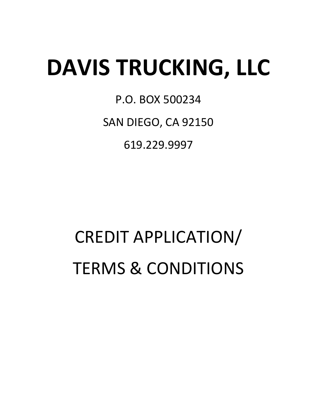# **DAVIS TRUCKING, LLC**

P.O. BOX 500234

SAN DIEGO, CA 92150

619.229.9997

# CREDIT APPLICATION/ TERMS & CONDITIONS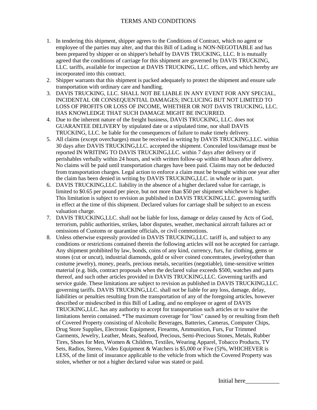#### TERMS AND CONDITIONS

- 1. In tendering this shipment, shipper agrees to the Conditions of Contract, which no agent or employee of the parties may alter, and that this Bill of Lading is NON-NEGOTIABLE and has been prepared by shipper or on shipper's behalf by DAVIS TRUCKING, LLC. It is mutually agreed that the conditions of carriage for this shipment are governed by DAVIS TRUCKING, LLC. tariffs, available for inspection at DAVIS TRUCKING, LLC. offices, and which hereby are incorporated into this contract.
- 2. Shipper warrants that this shipment is packed adequately to protect the shipment and ensure safe transportation with ordinary care and handling.
- 3. DAVIS TRUCKING, LLC. SHALL NOT BE LIABLE IN ANY EVENT FOR ANY SPECIAL, INCIDENTAL OR CONSEQUENTIAL DAMAGES; INCLUCING BUT NOT LIMITED TO LOSS OF PROFITS OR LOSS OF INCOME, WHETHER OR NOT DAVIS TRUCKING, LLC. HAS KNOWLEDGE THAT SUCH DAMAGE MIGHT BE INCURRED.
- 4. Due to the inherent nature of the freight business, DAVIS TRUCKING, LLC. does not GUARANTEE DELIVERY by stipulated date or a stipulated time, nor shall DAVIS TRUCKING, LLC. be liable for the consequences of failure to make timely delivery.
- 5. All claims (except overcharges) must be received in writing by DAVIS TRUCKING,LLC. within 30 days after DAVIS TRUCKING,LLC. accepted the shipment. Concealed loss/damage must be reported IN WRITING TO DAVIS TRUCKING,LLC. within 7 days after delivery or if perishables verbally within 24 hours, and with written follow-up within 48 hours after delivery. No claims will be paid until transportation charges have been paid. Claims may not be deducted from transportation charges. Legal action to enforce a claim must be brought within one year after the claim has been denied in writing by DAVIS TRUCKING,LLC. in whole or in part.
- 6. DAVIS TRUCKING,LLC. liability in the absence of a higher declared value for carriage, is limited to \$0.65 per pound per piece, but not more than \$50 per shipment whichever is higher. This limitation is subject to revision as published in DAVIS TRUCKING,LLC. governing tariffs in effect at the time of this shipment. Declared values for carriage shall be subject to an excess valuation charge.
- 7. DAVIS TRUCKING,LLC. shall not be liable for loss, damage or delay caused by Acts of God, terrorism, public authorities, strikes, labor disputes, weather, mechanical aircraft failures act or omissions of Customs or quarantine officials, or civil commotions.
- 8. Unless otherwise expressly provided in DAVIS TRUCKING,LLC. tariff is, and subject to any conditions or restrictions contained therein the following articles will not be accepted for carriage. Any shipment prohibited by law, bonds, coins of any kind, currency, furs, fur clothing, gems or stones (cut or uncut), industrial diamonds, gold or silver coined concentrates, jewelry(other than costume jewelry), money, pearls, precious metals, securities (negotiable), time-sensitive written material (e.g. bids, contract proposals when the declared value exceeds \$500, watches and parts thereof, and such other articles provided in DAVIS TRUCKING,LLC. Governing tariffs and service guide. These limitations are subject to revision as published in DAVIS TRUCKING,LLC. governing tariffs. DAVIS TRUCKING,LLC. shall not be liable for any loss, damage, delay, liabilities or penalties resulting from the transportation of any of the foregoing articles, however described or misdescribed in this Bill of Lading, and no employee or agent of DAVIS TRUCKING,LLC. has any authority to accept for transportation such articles or to waive the limitations herein contained. \*The maximum coverage for "loss" caused by or resulting from theft of Covered Property consisting of Alcoholic Beverages, Batteries, Cameras, Computer Chips, Drug Store Supplies, Electronic Equipment, Firearms, Ammunition, Furs, Fur Trimmed Garments, Jewelry, Leather, Meats, Seafood, Precious, Semi-Precious Stones, Metals, Rubber Tires, Shoes for Men, Women & Children, Textiles, Wearing Apparel, Tobacco Products, TV Sets, Radios, Stereo, Video Equipment & Watchers is \$5,000 or Five (5)%, WHICHEVER is LESS, of the limit of insurance applicable to the vehicle from which the Covered Property was stolen, whether or not a higher declared value was stated or paid.

Initial here\_\_\_\_\_\_\_\_\_\_\_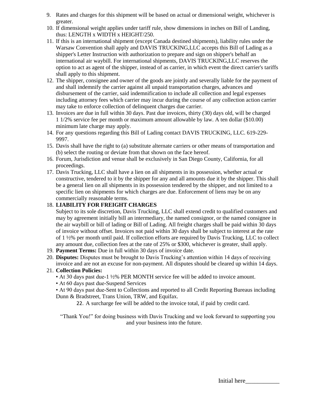- 9. Rates and charges for this shipment will be based on actual or dimensional weight, whichever is greater.
- 10. If dimensional weight applies under tariff rule, show dimensions in inches on Bill of Landing, thus: LENGTH x WIDTH x HEIGHT/250.
- 11. If this is an international shipment (except Canada destined shipments), liability rules under the Warsaw Convention shall apply and DAVIS TRUCKING,LLC accepts this Bill of Lading as a shipper's Letter Instruction with authorization to prepare and sign on shipper's behalf an international air waybill. For international shipments, DAVIS TRUCKING,LLC reserves the option to act as agent of the shipper, instead of as carrier, in which event the direct carrier's tariffs shall apply to this shipment.
- 12. The shipper, consignee and owner of the goods are jointly and severally liable for the payment of and shall indemnify the carrier against all unpaid transportation charges, advances and disbursement of the carrier, said indemnification to include all collection and legal expenses including attorney fees which carrier may incur during the course of any collection action carrier may take to enforce collection of delinquent charges due carrier.
- 13. Invoices are due in full within 30 days. Past due invoices, thirty (30) days old, will be charged 1 1/2% service fee per month or maximum amount allowable by law. A ten dollar (\$10.00) minimum late charge may apply.
- 14. For any questions regarding this Bill of Lading contact DAVIS TRUCKING, LLC. 619-229- 9997.
- 15. Davis shall have the right to (a) substitute alternate carriers or other means of transportation and (b) select the routing or deviate from that shown on the face hereof.
- 16. Forum, Jurisdiction and venue shall be exclusively in San Diego County, California, for all proceedings.
- 17. Davis Trucking, LLC shall have a lien on all shipments in its possession, whether actual or constructive, tendered to it by the shipper for any and all amounts due it by the shipper. This shall be a general lien on all shipments in its possession tendered by the shipper, and not limited to a specific lien on shipments for which charges are due. Enforcement of liens may be on any commercially reasonable terms.

#### 18. **LIABILITY FOR FREIGHT CHARGES**

Subject to its sole discretion, Davis Trucking, LLC shall extend credit to qualified customers and may by agreement initially bill an intermediary, the named consignor, or the named consignee in the air waybill or bill of lading or Bill of Lading. All freight charges shall be paid within 30 days of invoice without offset. Invoices not paid within 30 days shall be subject to interest at the rate of 1 ½% per month until paid. If collection efforts are required by Davis Trucking, LLC to collect any amount due, collection fees at the rate of 25% or \$300, whichever is greater, shall apply.

- 19. **Payment Terms:** Due in full within 30 days of invoice date.
- 20. **Disputes:** Disputes must be brought to Davis Trucking's attention within 14 days of receiving invoice and are not an excuse for non-payment. All disputes should be cleared up within 14 days.

#### 21. **Collection Policies:**

- At 30 days past due-1 ½% PER MONTH service fee will be added to invoice amount.
- At 60 days past due-Suspend Services

• At 90 days past due-Sent to Collections and reported to all Credit Reporting Bureaus including Dunn & Bradstreet, Trans Union, TRW, and Equifax.

22. A surcharge fee will be added to the invoice total, if paid by credit card.

"Thank You!" for doing business with Davis Trucking and we look forward to supporting you and your business into the future.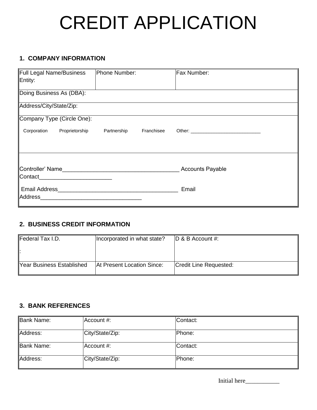# CREDIT APPLICATION

# **1. COMPANY INFORMATION**

| Full Legal Name/Business<br>Entity:                                                                                             | Phone Number: |            | Fax Number: |  |
|---------------------------------------------------------------------------------------------------------------------------------|---------------|------------|-------------|--|
| Doing Business As (DBA):                                                                                                        |               |            |             |  |
| Address/City/State/Zip:                                                                                                         |               |            |             |  |
| Company Type (Circle One):                                                                                                      |               |            |             |  |
| Proprietorship<br>Corporation                                                                                                   | Partnership   | Franchisee |             |  |
|                                                                                                                                 |               |            |             |  |
| Controller' Name<br><b>Accounts Payable</b>                                                                                     |               |            |             |  |
| <b>Contact</b>                                                                                                                  |               |            |             |  |
| Address<br><u> 1980 - Johann Barn, mars eta bainar eta bainar eta baina eta baina eta baina eta baina eta baina eta baina e</u> |               |            | Email       |  |
|                                                                                                                                 |               |            |             |  |

# **2. BUSINESS CREDIT INFORMATION**

| Federal Tax I.D.          | Incorporated in what state? | $ D \& B$ Account #:   |
|---------------------------|-----------------------------|------------------------|
|                           |                             |                        |
| Year Business Established | At Present Location Since:  | Credit Line Requested: |

### **3. BANK REFERENCES**

| <b>Bank Name:</b> | Account #:      | Contact: |
|-------------------|-----------------|----------|
| Address:          | City/State/Zip: | lPhone:  |
| Bank Name:        | ∣Account #:     | Contact: |
| Address:          | City/State/Zip: | Phone:   |

Initial here\_\_\_\_\_\_\_\_\_\_\_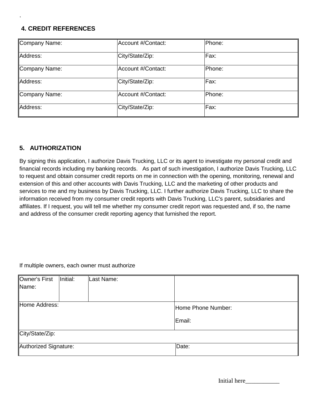### **4. CREDIT REFERENCES**

.

| Company Name: | Account #/Contact: | Phone: |  |
|---------------|--------------------|--------|--|
| Address:      | City/State/Zip:    | Fax:   |  |
| Company Name: | Account #/Contact: | Phone: |  |
| Address:      | City/State/Zip:    | Fax:   |  |
| Company Name: | Account #/Contact: | Phone: |  |
| Address:      | City/State/Zip:    | Fax:   |  |

### **5. AUTHORIZATION**

By signing this application, I authorize Davis Trucking, LLC or its agent to investigate my personal credit and financial records including my banking records. As part of such investigation, I authorize Davis Trucking, LLC to request and obtain consumer credit reports on me in connection with the opening, monitoring, renewal and extension of this and other accounts with Davis Trucking, LLC and the marketing of other products and services to me and my business by Davis Trucking, LLC. I further authorize Davis Trucking, LLC to share the information received from my consumer credit reports with Davis Trucking, LLC's parent, subsidiaries and affiliates. If I request, you will tell me whether my consumer credit report was requested and, if so, the name and address of the consumer credit reporting agency that furnished the report.

#### If multiple owners, each owner must authorize

| Owner's First         | Initial: | Last Name: |                    |
|-----------------------|----------|------------|--------------------|
| Name:                 |          |            |                    |
|                       |          |            |                    |
| Home Address:         |          |            | Home Phone Number: |
|                       |          |            | Email:             |
| City/State/Zip:       |          |            |                    |
| Authorized Signature: |          |            | Date:              |

| Initial here |  |
|--------------|--|
|--------------|--|